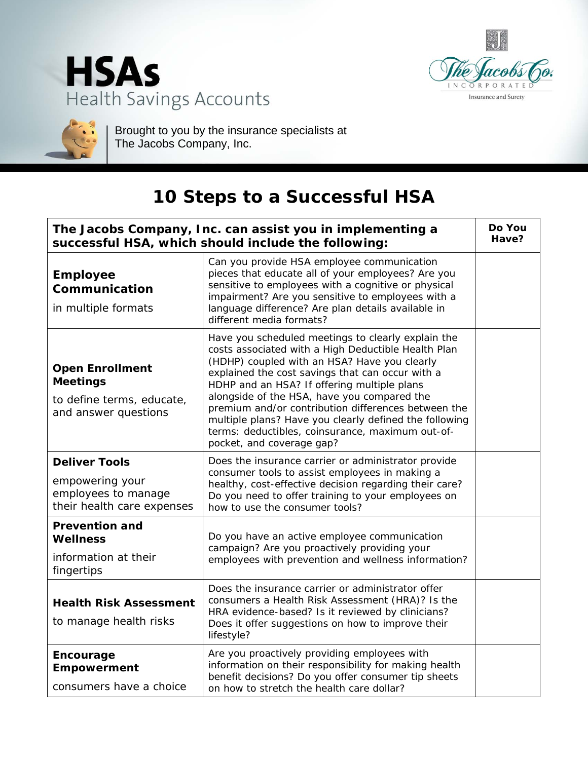





Brought to you by the insurance specialists at The Jacobs Company, Inc.

## **10 Steps to a Successful HSA**

| The Jacobs Company, Inc. can assist you in implementing a<br>successful HSA, which should include the following: |                                                                                                                                                                                                                                                                                                                                                                                                                                                                                                               |  |
|------------------------------------------------------------------------------------------------------------------|---------------------------------------------------------------------------------------------------------------------------------------------------------------------------------------------------------------------------------------------------------------------------------------------------------------------------------------------------------------------------------------------------------------------------------------------------------------------------------------------------------------|--|
| <b>Employee</b><br>Communication<br>in multiple formats                                                          | Can you provide HSA employee communication<br>pieces that educate all of your employees? Are you<br>sensitive to employees with a cognitive or physical<br>impairment? Are you sensitive to employees with a<br>language difference? Are plan details available in<br>different media formats?                                                                                                                                                                                                                |  |
| <b>Open Enrollment</b><br><b>Meetings</b><br>to define terms, educate,<br>and answer questions                   | Have you scheduled meetings to clearly explain the<br>costs associated with a High Deductible Health Plan<br>(HDHP) coupled with an HSA? Have you clearly<br>explained the cost savings that can occur with a<br>HDHP and an HSA? If offering multiple plans<br>alongside of the HSA, have you compared the<br>premium and/or contribution differences between the<br>multiple plans? Have you clearly defined the following<br>terms: deductibles, coinsurance, maximum out-of-<br>pocket, and coverage gap? |  |
| <b>Deliver Tools</b><br>empowering your<br>employees to manage<br>their health care expenses                     | Does the insurance carrier or administrator provide<br>consumer tools to assist employees in making a<br>healthy, cost-effective decision regarding their care?<br>Do you need to offer training to your employees on<br>how to use the consumer tools?                                                                                                                                                                                                                                                       |  |
| <b>Prevention and</b><br><b>Wellness</b><br>information at their<br>fingertips                                   | Do you have an active employee communication<br>campaign? Are you proactively providing your<br>employees with prevention and wellness information?                                                                                                                                                                                                                                                                                                                                                           |  |
| <b>Health Risk Assessment</b><br>to manage health risks                                                          | Does the insurance carrier or administrator offer<br>consumers a Health Risk Assessment (HRA)? Is the<br>HRA evidence-based? Is it reviewed by clinicians?<br>Does it offer suggestions on how to improve their<br>lifestyle?                                                                                                                                                                                                                                                                                 |  |
| Encourage<br><b>Empowerment</b><br>consumers have a choice                                                       | Are you proactively providing employees with<br>information on their responsibility for making health<br>benefit decisions? Do you offer consumer tip sheets<br>on how to stretch the health care dollar?                                                                                                                                                                                                                                                                                                     |  |